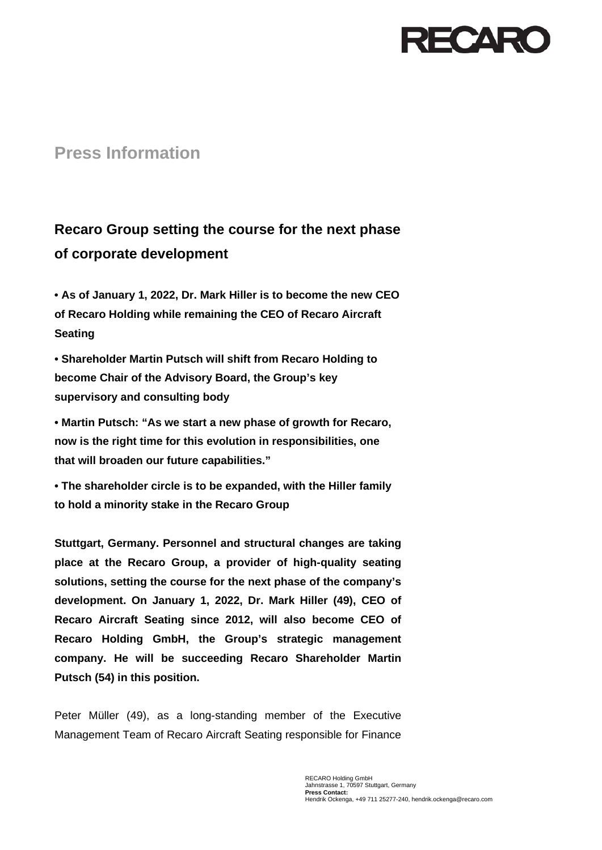

## **Press Information**

## **Recaro Group setting the course for the next phase of corporate development**

**• As of January 1, 2022, Dr. Mark Hiller is to become the new CEO of Recaro Holding while remaining the CEO of Recaro Aircraft Seating**

**• Shareholder Martin Putsch will shift from Recaro Holding to become Chair of the Advisory Board, the Group's key supervisory and consulting body**

**• Martin Putsch: "As we start a new phase of growth for Recaro, now is the right time for this evolution in responsibilities, one that will broaden our future capabilities."** 

**• The shareholder circle is to be expanded, with the Hiller family to hold a minority stake in the Recaro Group**

**Stuttgart, Germany. Personnel and structural changes are taking place at the Recaro Group, a provider of high-quality seating solutions, setting the course for the next phase of the company's development. On January 1, 2022, Dr. Mark Hiller (49), CEO of Recaro Aircraft Seating since 2012, will also become CEO of Recaro Holding GmbH, the Group's strategic management company. He will be succeeding Recaro Shareholder Martin Putsch (54) in this position.**

Peter Müller (49), as a long-standing member of the Executive Management Team of Recaro Aircraft Seating responsible for Finance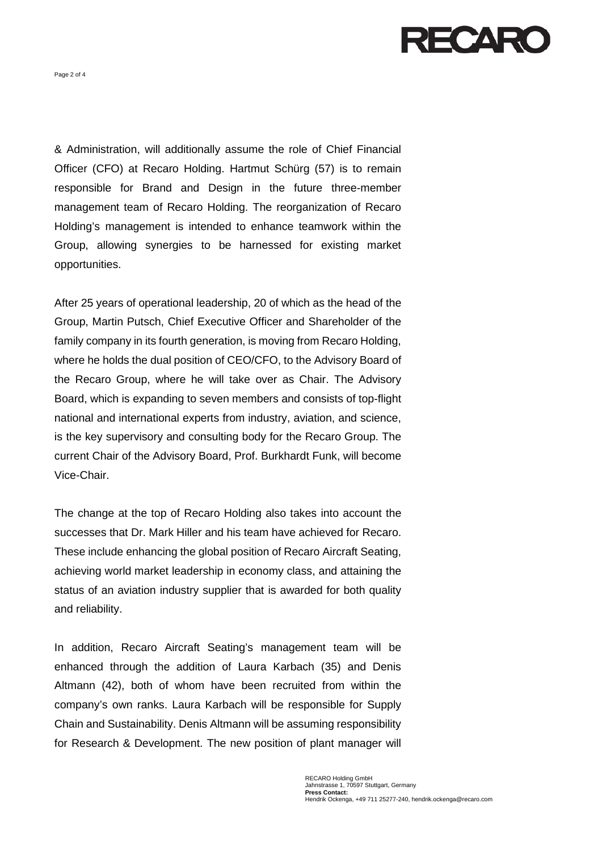

Page 2 of 4

& Administration, will additionally assume the role of Chief Financial Officer (CFO) at Recaro Holding. Hartmut Schürg (57) is to remain responsible for Brand and Design in the future three-member management team of Recaro Holding. The reorganization of Recaro Holding's management is intended to enhance teamwork within the Group, allowing synergies to be harnessed for existing market opportunities.

After 25 years of operational leadership, 20 of which as the head of the Group, Martin Putsch, Chief Executive Officer and Shareholder of the family company in its fourth generation, is moving from Recaro Holding, where he holds the dual position of CEO/CFO, to the Advisory Board of the Recaro Group, where he will take over as Chair. The Advisory Board, which is expanding to seven members and consists of top-flight national and international experts from industry, aviation, and science, is the key supervisory and consulting body for the Recaro Group. The current Chair of the Advisory Board, Prof. Burkhardt Funk, will become Vice-Chair.

The change at the top of Recaro Holding also takes into account the successes that Dr. Mark Hiller and his team have achieved for Recaro. These include enhancing the global position of Recaro Aircraft Seating, achieving world market leadership in economy class, and attaining the status of an aviation industry supplier that is awarded for both quality and reliability.

In addition, Recaro Aircraft Seating's management team will be enhanced through the addition of Laura Karbach (35) and Denis Altmann (42), both of whom have been recruited from within the company's own ranks. Laura Karbach will be responsible for Supply Chain and Sustainability. Denis Altmann will be assuming responsibility for Research & Development. The new position of plant manager will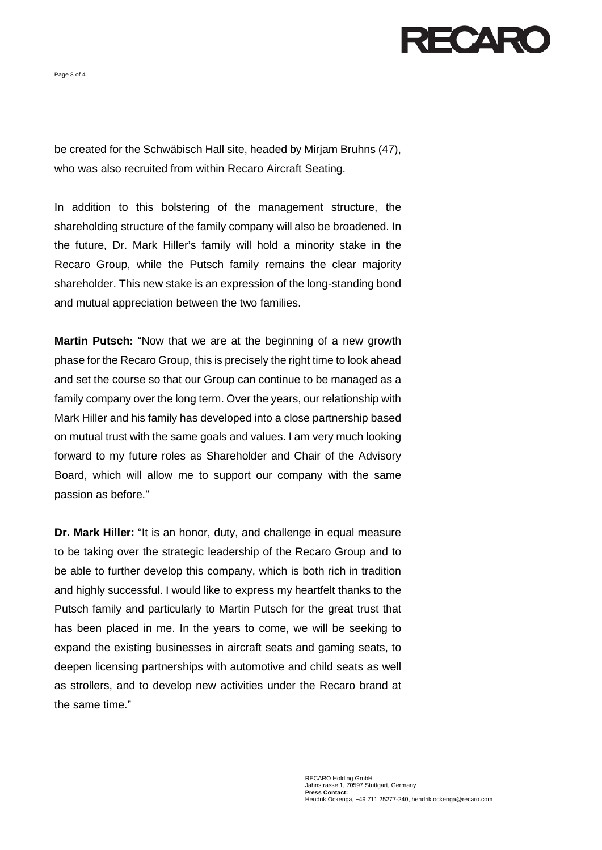ECARC

Page 3 of 4

be created for the Schwäbisch Hall site, headed by Mirjam Bruhns (47), who was also recruited from within Recaro Aircraft Seating.

In addition to this bolstering of the management structure, the shareholding structure of the family company will also be broadened. In the future, Dr. Mark Hiller's family will hold a minority stake in the Recaro Group, while the Putsch family remains the clear majority shareholder. This new stake is an expression of the long-standing bond and mutual appreciation between the two families.

**Martin Putsch:** "Now that we are at the beginning of a new growth phase for the Recaro Group, this is precisely the right time to look ahead and set the course so that our Group can continue to be managed as a family company over the long term. Over the years, our relationship with Mark Hiller and his family has developed into a close partnership based on mutual trust with the same goals and values. I am very much looking forward to my future roles as Shareholder and Chair of the Advisory Board, which will allow me to support our company with the same passion as before."

**Dr. Mark Hiller:** "It is an honor, duty, and challenge in equal measure to be taking over the strategic leadership of the Recaro Group and to be able to further develop this company, which is both rich in tradition and highly successful. I would like to express my heartfelt thanks to the Putsch family and particularly to Martin Putsch for the great trust that has been placed in me. In the years to come, we will be seeking to expand the existing businesses in aircraft seats and gaming seats, to deepen licensing partnerships with automotive and child seats as well as strollers, and to develop new activities under the Recaro brand at the same time."